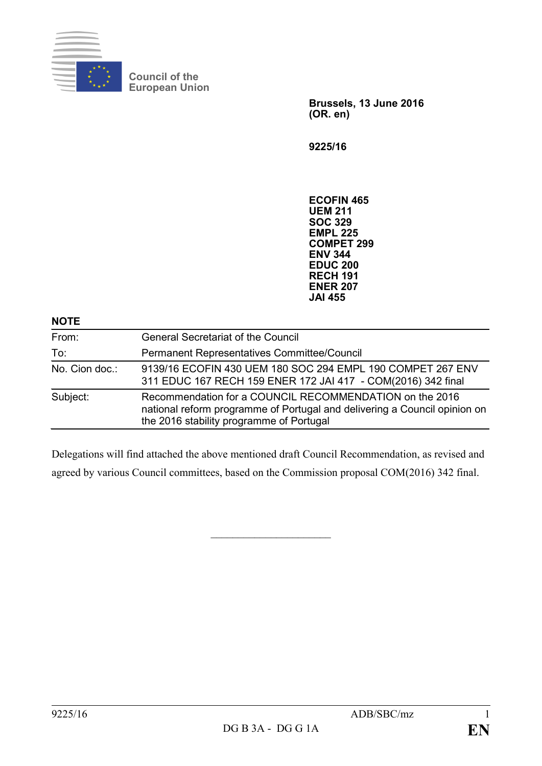

**Council of the European Union**

> **Brussels, 13 June 2016 (OR. en)**

**9225/16**

**ECOFIN 465 UEM 211 SOC 329 EMPL 225 COMPET 299 ENV 344 EDUC 200 RECH 191 ENER 207 JAI 455**

## **NOTE**

| From:          | <b>General Secretariat of the Council</b>                                                                                                                                        |
|----------------|----------------------------------------------------------------------------------------------------------------------------------------------------------------------------------|
| To:            | Permanent Representatives Committee/Council                                                                                                                                      |
| No. Cion doc.: | 9139/16 ECOFIN 430 UEM 180 SOC 294 EMPL 190 COMPET 267 ENV<br>311 EDUC 167 RECH 159 ENER 172 JAI 417 - COM(2016) 342 final                                                       |
| Subject:       | Recommendation for a COUNCIL RECOMMENDATION on the 2016<br>national reform programme of Portugal and delivering a Council opinion on<br>the 2016 stability programme of Portugal |

Delegations will find attached the above mentioned draft Council Recommendation, as revised and agreed by various Council committees, based on the Commission proposal COM(2016) 342 final.

 $\overline{\phantom{a}}$  , which is a set of the set of the set of the set of the set of the set of the set of the set of the set of the set of the set of the set of the set of the set of the set of the set of the set of the set of th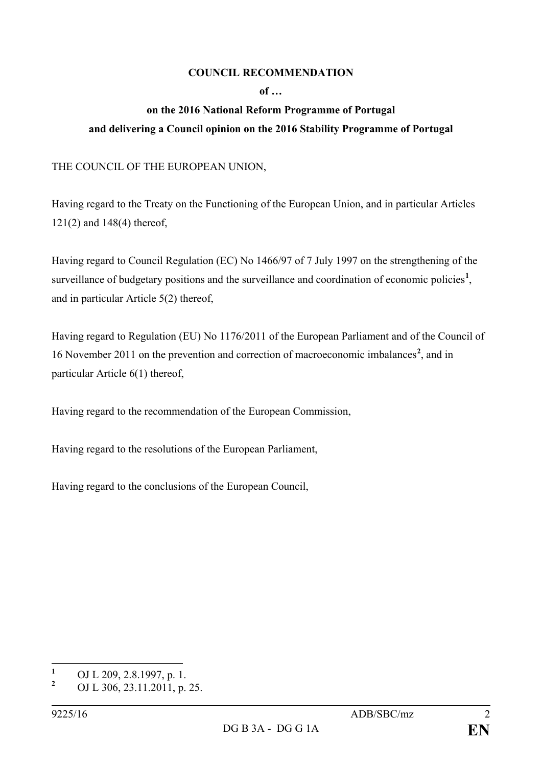## **COUNCIL RECOMMENDATION**

**of …**

## **on the 2016 National Reform Programme of Portugal and delivering a Council opinion on the 2016 Stability Programme of Portugal**

THE COUNCIL OF THE EUROPEAN UNION,

Having regard to the Treaty on the Functioning of the European Union, and in particular Articles 121(2) and 148(4) thereof,

Having regard to Council Regulation (EC) No 1466/97 of 7 July 1997 on the strengthening of the surveillance of budgetary positions and the surveillance and coordination of economic policies<sup>[1](#page-1-0)</sup>, and in particular Article 5(2) thereof,

Having regard to Regulation (EU) No 1176/2011 of the European Parliament and of the Council of 16 November 2011 on the prevention and correction of macroeconomic imbalances**[2](#page-1-1)** , and in particular Article 6(1) thereof,

Having regard to the recommendation of the European Commission,

Having regard to the resolutions of the European Parliament,

Having regard to the conclusions of the European Council,

<span id="page-1-0"></span>**<sup>1</sup>** OJ L 209, 2.8.1997, p. 1.

<span id="page-1-1"></span>**<sup>2</sup>** OJ L 306, 23.11.2011, p. 25.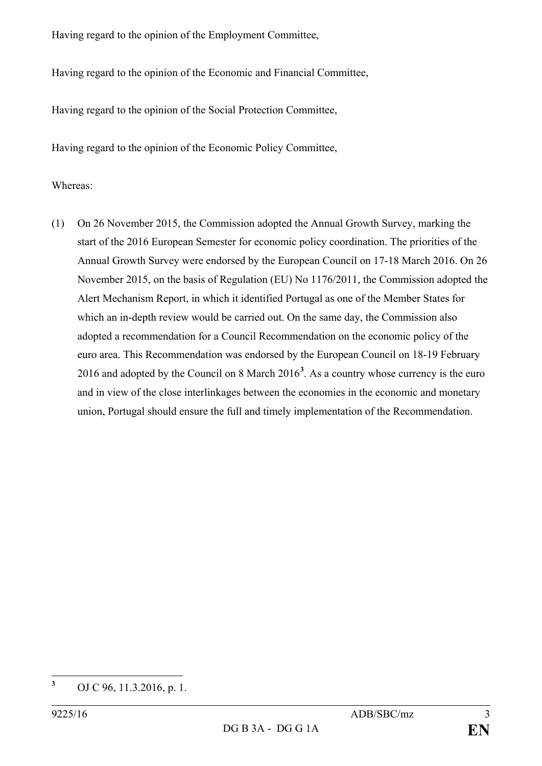Having regard to the opinion of the Employment Committee,

Having regard to the opinion of the Economic and Financial Committee,

Having regard to the opinion of the Social Protection Committee,

Having regard to the opinion of the Economic Policy Committee,

## Whereas:

(1) On 26 November 2015, the Commission adopted the Annual Growth Survey, marking the start of the 2016 European Semester for economic policy coordination. The priorities of the Annual Growth Survey were endorsed by the European Council on 17-18 March 2016. On 26 November 2015, on the basis of Regulation (EU) No 1176/2011, the Commission adopted the Alert Mechanism Report, in which it identified Portugal as one of the Member States for which an in-depth review would be carried out. On the same day, the Commission also adopted a recommendation for a Council Recommendation on the economic policy of the euro area. This Recommendation was endorsed by the European Council on 18-19 February 2016 and adopted by the Council on 8 March 2016**[3](#page-2-0)** . As a country whose currency is the euro and in view of the close interlinkages between the economies in the economic and monetary union, Portugal should ensure the full and timely implementation of the Recommendation.

<span id="page-2-0"></span>**<sup>3</sup>** OJ C 96, 11.3.2016, p. 1.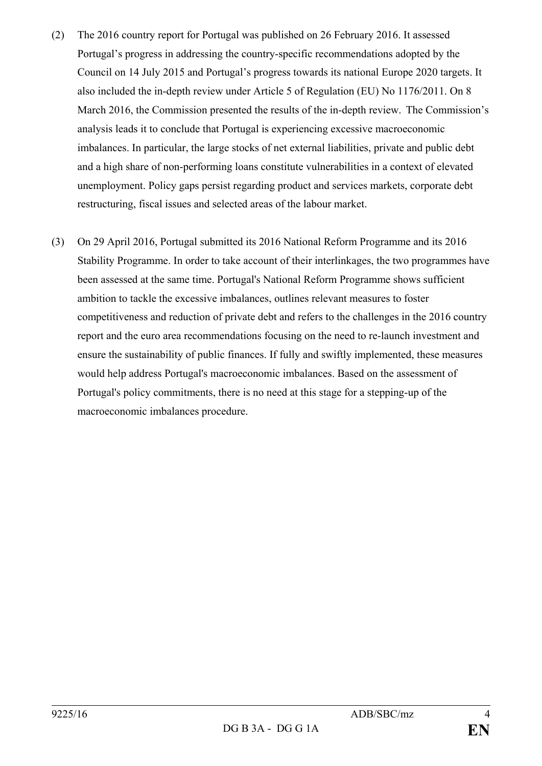- (2) The 2016 country report for Portugal was published on 26 February 2016. It assessed Portugal's progress in addressing the country-specific recommendations adopted by the Council on 14 July 2015 and Portugal's progress towards its national Europe 2020 targets. It also included the in-depth review under Article 5 of Regulation (EU) No 1176/2011. On 8 March 2016, the Commission presented the results of the in-depth review. The Commission's analysis leads it to conclude that Portugal is experiencing excessive macroeconomic imbalances. In particular, the large stocks of net external liabilities, private and public debt and a high share of non-performing loans constitute vulnerabilities in a context of elevated unemployment. Policy gaps persist regarding product and services markets, corporate debt restructuring, fiscal issues and selected areas of the labour market.
- (3) On 29 April 2016, Portugal submitted its 2016 National Reform Programme and its 2016 Stability Programme. In order to take account of their interlinkages, the two programmes have been assessed at the same time. Portugal's National Reform Programme shows sufficient ambition to tackle the excessive imbalances, outlines relevant measures to foster competitiveness and reduction of private debt and refers to the challenges in the 2016 country report and the euro area recommendations focusing on the need to re-launch investment and ensure the sustainability of public finances. If fully and swiftly implemented, these measures would help address Portugal's macroeconomic imbalances. Based on the assessment of Portugal's policy commitments, there is no need at this stage for a stepping-up of the macroeconomic imbalances procedure.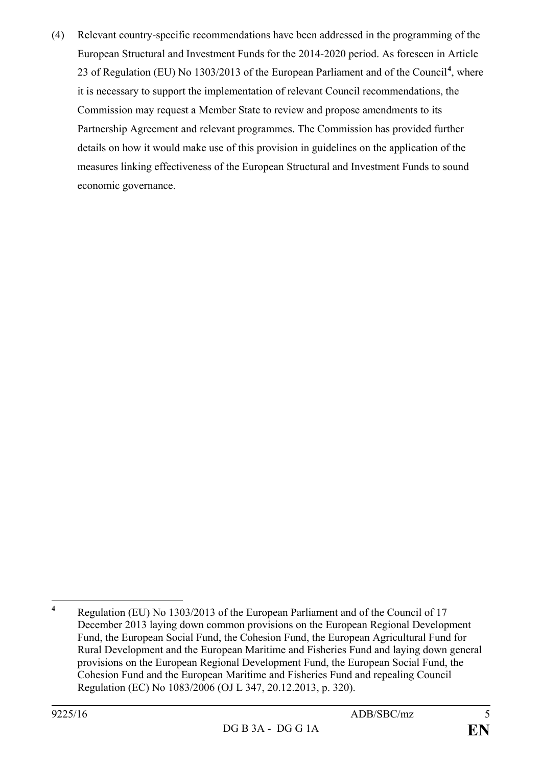(4) Relevant country-specific recommendations have been addressed in the programming of the European Structural and Investment Funds for the 2014-2020 period. As foreseen in Article 23 of Regulation (EU) No 1303/2013 of the European Parliament and of the Council**[4](#page-4-0)** , where it is necessary to support the implementation of relevant Council recommendations, the Commission may request a Member State to review and propose amendments to its Partnership Agreement and relevant programmes. The Commission has provided further details on how it would make use of this provision in guidelines on the application of the measures linking effectiveness of the European Structural and Investment Funds to sound economic governance.

<span id="page-4-0"></span>**<sup>4</sup>** Regulation (EU) No 1303/2013 of the European Parliament and of the Council of 17 December 2013 laying down common provisions on the European Regional Development Fund, the European Social Fund, the Cohesion Fund, the European Agricultural Fund for Rural Development and the European Maritime and Fisheries Fund and laying down general provisions on the European Regional Development Fund, the European Social Fund, the Cohesion Fund and the European Maritime and Fisheries Fund and repealing Council Regulation (EC) No 1083/2006 (OJ L 347, 20.12.2013, p. 320).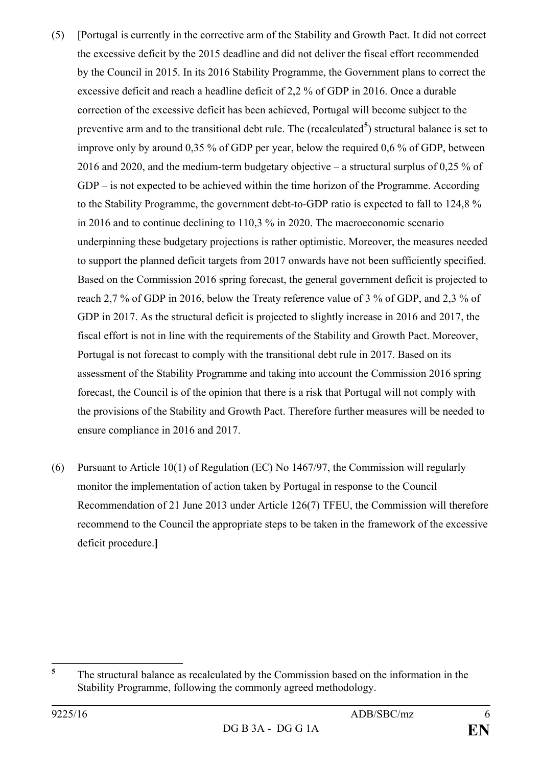- (5) [Portugal is currently in the corrective arm of the Stability and Growth Pact. It did not correct the excessive deficit by the 2015 deadline and did not deliver the fiscal effort recommended by the Council in 2015. In its 2016 Stability Programme, the Government plans to correct the excessive deficit and reach a headline deficit of 2,2 % of GDP in 2016. Once a durable correction of the excessive deficit has been achieved, Portugal will become subject to the preventive arm and to the transitional debt rule. The (recalculated<sup>[5](#page-5-0)</sup>) structural balance is set to improve only by around 0,35 % of GDP per year, below the required 0,6 % of GDP, between 2016 and 2020, and the medium-term budgetary objective – a structural surplus of 0,25 % of GDP – is not expected to be achieved within the time horizon of the Programme. According to the Stability Programme, the government debt-to-GDP ratio is expected to fall to 124,8 % in 2016 and to continue declining to 110,3 % in 2020. The macroeconomic scenario underpinning these budgetary projections is rather optimistic. Moreover, the measures needed to support the planned deficit targets from 2017 onwards have not been sufficiently specified. Based on the Commission 2016 spring forecast, the general government deficit is projected to reach 2,7 % of GDP in 2016, below the Treaty reference value of 3 % of GDP, and 2,3 % of GDP in 2017. As the structural deficit is projected to slightly increase in 2016 and 2017, the fiscal effort is not in line with the requirements of the Stability and Growth Pact. Moreover, Portugal is not forecast to comply with the transitional debt rule in 2017. Based on its assessment of the Stability Programme and taking into account the Commission 2016 spring forecast, the Council is of the opinion that there is a risk that Portugal will not comply with the provisions of the Stability and Growth Pact. Therefore further measures will be needed to ensure compliance in 2016 and 2017.
- (6) Pursuant to Article 10(1) of Regulation (EC) No 1467/97, the Commission will regularly monitor the implementation of action taken by Portugal in response to the Council Recommendation of 21 June 2013 under Article 126(7) TFEU, the Commission will therefore recommend to the Council the appropriate steps to be taken in the framework of the excessive deficit procedure.**]**

<span id="page-5-0"></span><sup>&</sup>lt;sup>5</sup> The structural balance as recalculated by the Commission based on the information in the Stability Programme, following the commonly agreed methodology.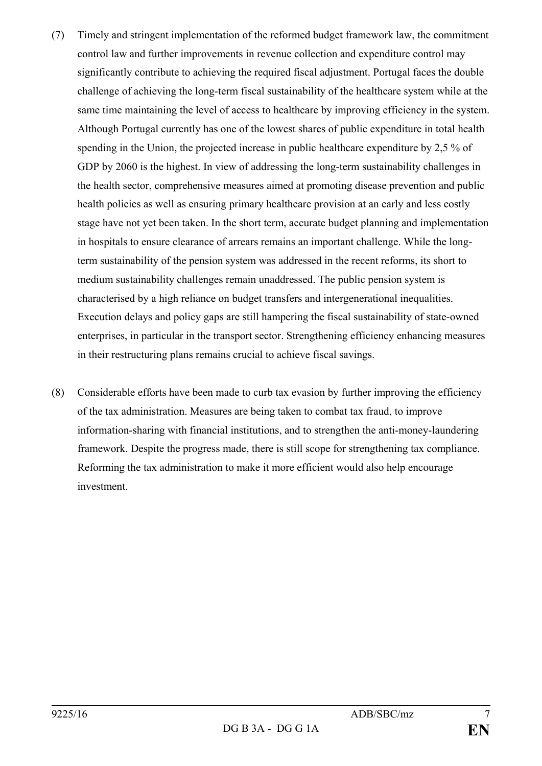- (7) Timely and stringent implementation of the reformed budget framework law, the commitment control law and further improvements in revenue collection and expenditure control may significantly contribute to achieving the required fiscal adjustment. Portugal faces the double challenge of achieving the long-term fiscal sustainability of the healthcare system while at the same time maintaining the level of access to healthcare by improving efficiency in the system. Although Portugal currently has one of the lowest shares of public expenditure in total health spending in the Union, the projected increase in public healthcare expenditure by 2,5 % of GDP by 2060 is the highest. In view of addressing the long-term sustainability challenges in the health sector, comprehensive measures aimed at promoting disease prevention and public health policies as well as ensuring primary healthcare provision at an early and less costly stage have not yet been taken. In the short term, accurate budget planning and implementation in hospitals to ensure clearance of arrears remains an important challenge. While the longterm sustainability of the pension system was addressed in the recent reforms, its short to medium sustainability challenges remain unaddressed. The public pension system is characterised by a high reliance on budget transfers and intergenerational inequalities. Execution delays and policy gaps are still hampering the fiscal sustainability of state-owned enterprises, in particular in the transport sector. Strengthening efficiency enhancing measures in their restructuring plans remains crucial to achieve fiscal savings.
- (8) Considerable efforts have been made to curb tax evasion by further improving the efficiency of the tax administration. Measures are being taken to combat tax fraud, to improve information-sharing with financial institutions, and to strengthen the anti-money-laundering framework. Despite the progress made, there is still scope for strengthening tax compliance. Reforming the tax administration to make it more efficient would also help encourage investment.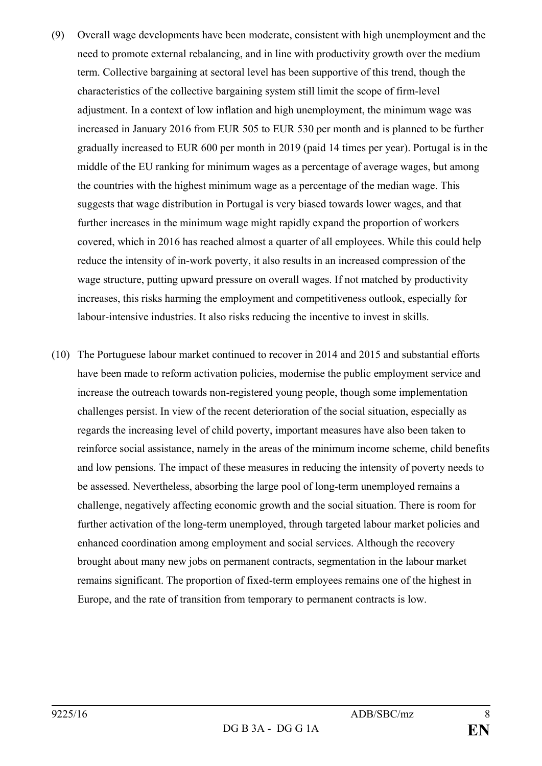- (9) Overall wage developments have been moderate, consistent with high unemployment and the need to promote external rebalancing, and in line with productivity growth over the medium term. Collective bargaining at sectoral level has been supportive of this trend, though the characteristics of the collective bargaining system still limit the scope of firm-level adjustment. In a context of low inflation and high unemployment, the minimum wage was increased in January 2016 from EUR 505 to EUR 530 per month and is planned to be further gradually increased to EUR 600 per month in 2019 (paid 14 times per year). Portugal is in the middle of the EU ranking for minimum wages as a percentage of average wages, but among the countries with the highest minimum wage as a percentage of the median wage. This suggests that wage distribution in Portugal is very biased towards lower wages, and that further increases in the minimum wage might rapidly expand the proportion of workers covered, which in 2016 has reached almost a quarter of all employees. While this could help reduce the intensity of in-work poverty, it also results in an increased compression of the wage structure, putting upward pressure on overall wages. If not matched by productivity increases, this risks harming the employment and competitiveness outlook, especially for labour-intensive industries. It also risks reducing the incentive to invest in skills.
- (10) The Portuguese labour market continued to recover in 2014 and 2015 and substantial efforts have been made to reform activation policies, modernise the public employment service and increase the outreach towards non-registered young people, though some implementation challenges persist. In view of the recent deterioration of the social situation, especially as regards the increasing level of child poverty, important measures have also been taken to reinforce social assistance, namely in the areas of the minimum income scheme, child benefits and low pensions. The impact of these measures in reducing the intensity of poverty needs to be assessed. Nevertheless, absorbing the large pool of long-term unemployed remains a challenge, negatively affecting economic growth and the social situation. There is room for further activation of the long-term unemployed, through targeted labour market policies and enhanced coordination among employment and social services. Although the recovery brought about many new jobs on permanent contracts, segmentation in the labour market remains significant. The proportion of fixed-term employees remains one of the highest in Europe, and the rate of transition from temporary to permanent contracts is low.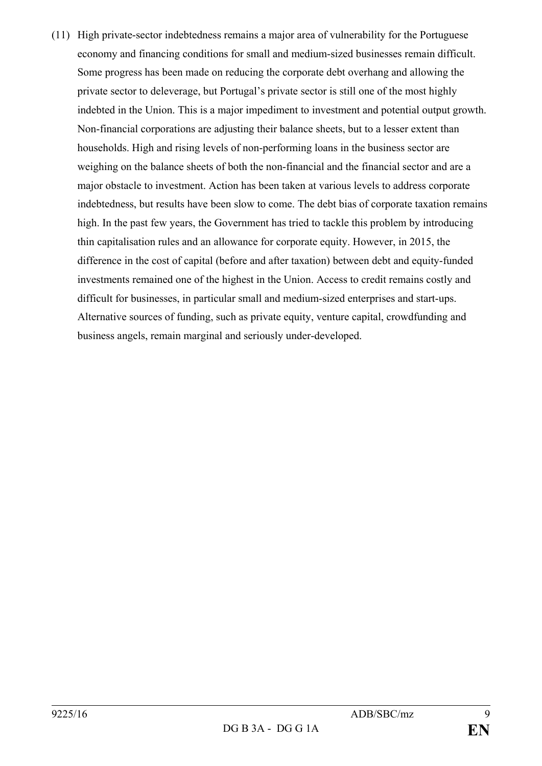(11) High private-sector indebtedness remains a major area of vulnerability for the Portuguese economy and financing conditions for small and medium-sized businesses remain difficult. Some progress has been made on reducing the corporate debt overhang and allowing the private sector to deleverage, but Portugal's private sector is still one of the most highly indebted in the Union. This is a major impediment to investment and potential output growth. Non-financial corporations are adjusting their balance sheets, but to a lesser extent than households. High and rising levels of non-performing loans in the business sector are weighing on the balance sheets of both the non-financial and the financial sector and are a major obstacle to investment. Action has been taken at various levels to address corporate indebtedness, but results have been slow to come. The debt bias of corporate taxation remains high. In the past few years, the Government has tried to tackle this problem by introducing thin capitalisation rules and an allowance for corporate equity. However, in 2015, the difference in the cost of capital (before and after taxation) between debt and equity-funded investments remained one of the highest in the Union. Access to credit remains costly and difficult for businesses, in particular small and medium-sized enterprises and start-ups. Alternative sources of funding, such as private equity, venture capital, crowdfunding and business angels, remain marginal and seriously under-developed.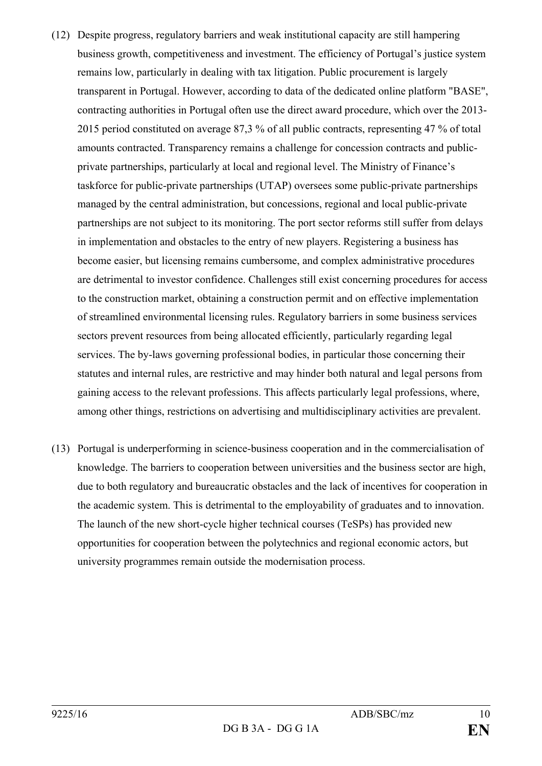- (12) Despite progress, regulatory barriers and weak institutional capacity are still hampering business growth, competitiveness and investment. The efficiency of Portugal's justice system remains low, particularly in dealing with tax litigation. Public procurement is largely transparent in Portugal. However, according to data of the dedicated online platform "BASE", contracting authorities in Portugal often use the direct award procedure, which over the 2013- 2015 period constituted on average 87,3 % of all public contracts, representing 47 % of total amounts contracted. Transparency remains a challenge for concession contracts and publicprivate partnerships, particularly at local and regional level. The Ministry of Finance's taskforce for public-private partnerships (UTAP) oversees some public-private partnerships managed by the central administration, but concessions, regional and local public-private partnerships are not subject to its monitoring. The port sector reforms still suffer from delays in implementation and obstacles to the entry of new players. Registering a business has become easier, but licensing remains cumbersome, and complex administrative procedures are detrimental to investor confidence. Challenges still exist concerning procedures for access to the construction market, obtaining a construction permit and on effective implementation of streamlined environmental licensing rules. Regulatory barriers in some business services sectors prevent resources from being allocated efficiently, particularly regarding legal services. The by-laws governing professional bodies, in particular those concerning their statutes and internal rules, are restrictive and may hinder both natural and legal persons from gaining access to the relevant professions. This affects particularly legal professions, where, among other things, restrictions on advertising and multidisciplinary activities are prevalent.
- (13) Portugal is underperforming in science-business cooperation and in the commercialisation of knowledge. The barriers to cooperation between universities and the business sector are high, due to both regulatory and bureaucratic obstacles and the lack of incentives for cooperation in the academic system. This is detrimental to the employability of graduates and to innovation. The launch of the new short-cycle higher technical courses (TeSPs) has provided new opportunities for cooperation between the polytechnics and regional economic actors, but university programmes remain outside the modernisation process.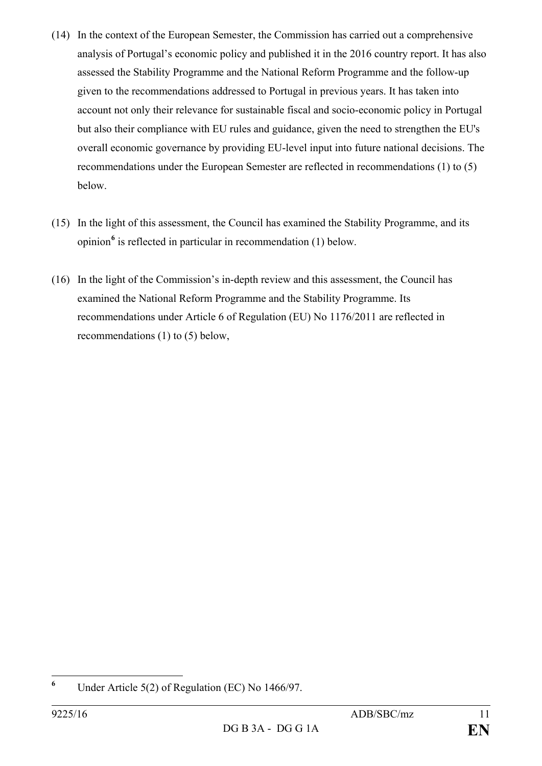- (14) In the context of the European Semester, the Commission has carried out a comprehensive analysis of Portugal's economic policy and published it in the 2016 country report. It has also assessed the Stability Programme and the National Reform Programme and the follow-up given to the recommendations addressed to Portugal in previous years. It has taken into account not only their relevance for sustainable fiscal and socio-economic policy in Portugal but also their compliance with EU rules and guidance, given the need to strengthen the EU's overall economic governance by providing EU-level input into future national decisions. The recommendations under the European Semester are reflected in recommendations (1) to (5) below.
- (15) In the light of this assessment, the Council has examined the Stability Programme, and its opinion**[6](#page-10-0)** is reflected in particular in recommendation (1) below.
- (16) In the light of the Commission's in-depth review and this assessment, the Council has examined the National Reform Programme and the Stability Programme. Its recommendations under Article 6 of Regulation (EU) No 1176/2011 are reflected in recommendations (1) to (5) below,

<span id="page-10-0"></span>**<sup>6</sup>** Under Article 5(2) of Regulation (EC) No 1466/97.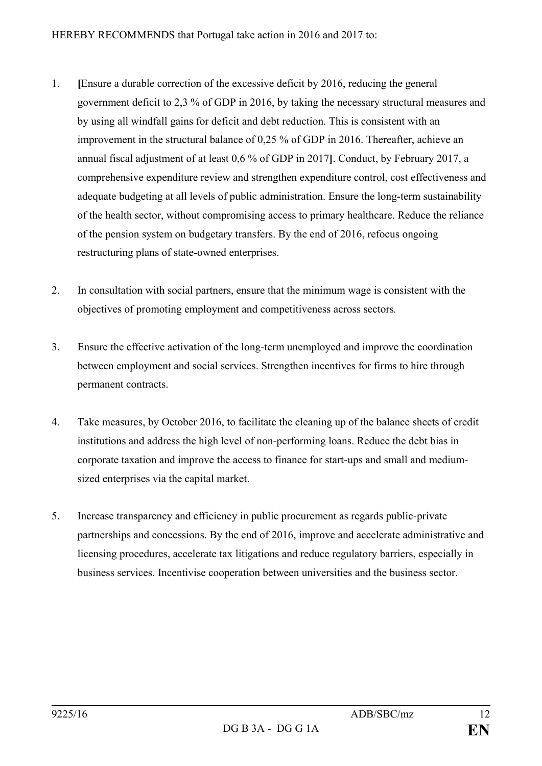- 1. **[**Ensure a durable correction of the excessive deficit by 2016, reducing the general government deficit to 2,3 % of GDP in 2016, by taking the necessary structural measures and by using all windfall gains for deficit and debt reduction. This is consistent with an improvement in the structural balance of 0,25 % of GDP in 2016. Thereafter, achieve an annual fiscal adjustment of at least 0,6 % of GDP in 2017**]**. Conduct, by February 2017, a comprehensive expenditure review and strengthen expenditure control, cost effectiveness and adequate budgeting at all levels of public administration. Ensure the long-term sustainability of the health sector, without compromising access to primary healthcare. Reduce the reliance of the pension system on budgetary transfers. By the end of 2016, refocus ongoing restructuring plans of state-owned enterprises.
- 2. In consultation with social partners, ensure that the minimum wage is consistent with the objectives of promoting employment and competitiveness across sectors*.*
- 3. Ensure the effective activation of the long-term unemployed and improve the coordination between employment and social services. Strengthen incentives for firms to hire through permanent contracts.
- 4. Take measures, by October 2016, to facilitate the cleaning up of the balance sheets of credit institutions and address the high level of non-performing loans. Reduce the debt bias in corporate taxation and improve the access to finance for start-ups and small and mediumsized enterprises via the capital market.
- 5. Increase transparency and efficiency in public procurement as regards public-private partnerships and concessions. By the end of 2016, improve and accelerate administrative and licensing procedures, accelerate tax litigations and reduce regulatory barriers, especially in business services. Incentivise cooperation between universities and the business sector.